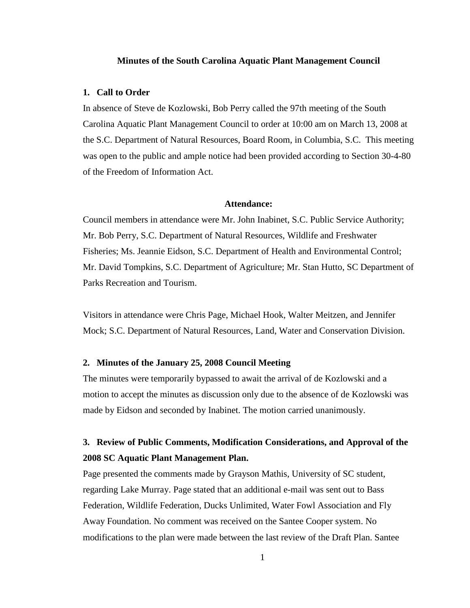#### **Minutes of the South Carolina Aquatic Plant Management Council**

### **1. Call to Order**

In absence of Steve de Kozlowski, Bob Perry called the 97th meeting of the South Carolina Aquatic Plant Management Council to order at 10:00 am on March 13, 2008 at the S.C. Department of Natural Resources, Board Room, in Columbia, S.C. This meeting was open to the public and ample notice had been provided according to Section 30-4-80 of the Freedom of Information Act.

### **Attendance:**

Council members in attendance were Mr. John Inabinet, S.C. Public Service Authority; Mr. Bob Perry, S.C. Department of Natural Resources, Wildlife and Freshwater Fisheries; Ms. Jeannie Eidson, S.C. Department of Health and Environmental Control; Mr. David Tompkins, S.C. Department of Agriculture; Mr. Stan Hutto, SC Department of Parks Recreation and Tourism.

Visitors in attendance were Chris Page, Michael Hook, Walter Meitzen, and Jennifer Mock; S.C. Department of Natural Resources, Land, Water and Conservation Division.

### **2. Minutes of the January 25, 2008 Council Meeting**

The minutes were temporarily bypassed to await the arrival of de Kozlowski and a motion to accept the minutes as discussion only due to the absence of de Kozlowski was made by Eidson and seconded by Inabinet. The motion carried unanimously.

# **3. Review of Public Comments, Modification Considerations, and Approval of the 2008 SC Aquatic Plant Management Plan.**

Page presented the comments made by Grayson Mathis, University of SC student, regarding Lake Murray. Page stated that an additional e-mail was sent out to Bass Federation, Wildlife Federation, Ducks Unlimited, Water Fowl Association and Fly Away Foundation. No comment was received on the Santee Cooper system. No modifications to the plan were made between the last review of the Draft Plan. Santee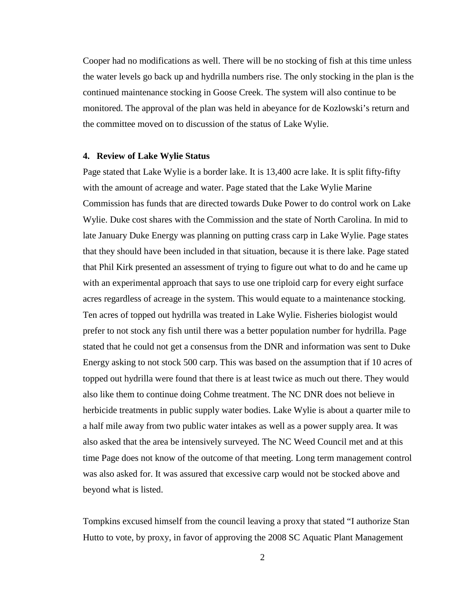Cooper had no modifications as well. There will be no stocking of fish at this time unless the water levels go back up and hydrilla numbers rise. The only stocking in the plan is the continued maintenance stocking in Goose Creek. The system will also continue to be monitored. The approval of the plan was held in abeyance for de Kozlowski's return and the committee moved on to discussion of the status of Lake Wylie.

### **4. Review of Lake Wylie Status**

Page stated that Lake Wylie is a border lake. It is 13,400 acre lake. It is split fifty-fifty with the amount of acreage and water. Page stated that the Lake Wylie Marine Commission has funds that are directed towards Duke Power to do control work on Lake Wylie. Duke cost shares with the Commission and the state of North Carolina. In mid to late January Duke Energy was planning on putting crass carp in Lake Wylie. Page states that they should have been included in that situation, because it is there lake. Page stated that Phil Kirk presented an assessment of trying to figure out what to do and he came up with an experimental approach that says to use one triploid carp for every eight surface acres regardless of acreage in the system. This would equate to a maintenance stocking. Ten acres of topped out hydrilla was treated in Lake Wylie. Fisheries biologist would prefer to not stock any fish until there was a better population number for hydrilla. Page stated that he could not get a consensus from the DNR and information was sent to Duke Energy asking to not stock 500 carp. This was based on the assumption that if 10 acres of topped out hydrilla were found that there is at least twice as much out there. They would also like them to continue doing Cohme treatment. The NC DNR does not believe in herbicide treatments in public supply water bodies. Lake Wylie is about a quarter mile to a half mile away from two public water intakes as well as a power supply area. It was also asked that the area be intensively surveyed. The NC Weed Council met and at this time Page does not know of the outcome of that meeting. Long term management control was also asked for. It was assured that excessive carp would not be stocked above and beyond what is listed.

Tompkins excused himself from the council leaving a proxy that stated "I authorize Stan Hutto to vote, by proxy, in favor of approving the 2008 SC Aquatic Plant Management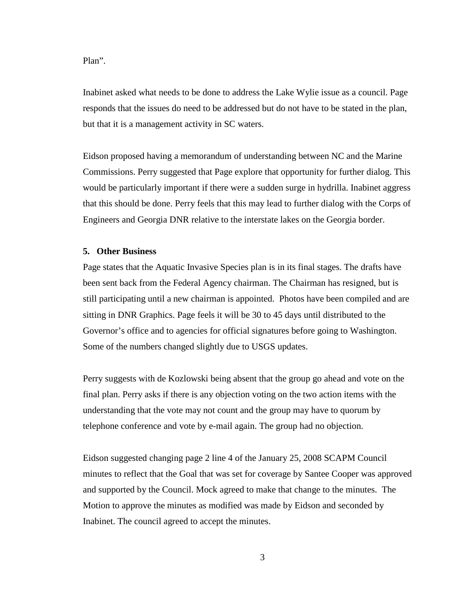### Plan".

Inabinet asked what needs to be done to address the Lake Wylie issue as a council. Page responds that the issues do need to be addressed but do not have to be stated in the plan, but that it is a management activity in SC waters.

Eidson proposed having a memorandum of understanding between NC and the Marine Commissions. Perry suggested that Page explore that opportunity for further dialog. This would be particularly important if there were a sudden surge in hydrilla. Inabinet aggress that this should be done. Perry feels that this may lead to further dialog with the Corps of Engineers and Georgia DNR relative to the interstate lakes on the Georgia border.

### **5. Other Business**

Page states that the Aquatic Invasive Species plan is in its final stages. The drafts have been sent back from the Federal Agency chairman. The Chairman has resigned, but is still participating until a new chairman is appointed. Photos have been compiled and are sitting in DNR Graphics. Page feels it will be 30 to 45 days until distributed to the Governor's office and to agencies for official signatures before going to Washington. Some of the numbers changed slightly due to USGS updates.

Perry suggests with de Kozlowski being absent that the group go ahead and vote on the final plan. Perry asks if there is any objection voting on the two action items with the understanding that the vote may not count and the group may have to quorum by telephone conference and vote by e-mail again. The group had no objection.

Eidson suggested changing page 2 line 4 of the January 25, 2008 SCAPM Council minutes to reflect that the Goal that was set for coverage by Santee Cooper was approved and supported by the Council. Mock agreed to make that change to the minutes. The Motion to approve the minutes as modified was made by Eidson and seconded by Inabinet. The council agreed to accept the minutes.